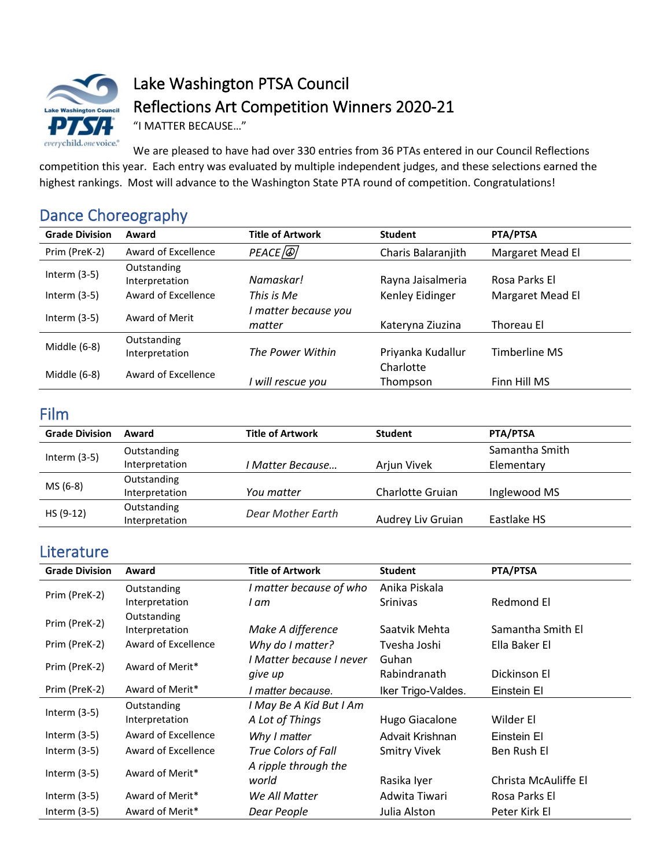

Lake Washington PTSA Council Reflections Art Competition Winners 2020-21

"I MATTER BECAUSE…"

We are pleased to have had over 330 entries from 36 PTAs entered in our Council Reflections competition this year. Each entry was evaluated by multiple independent judges, and these selections earned the highest rankings. Most will advance to the Washington State PTA round of competition. Congratulations!

## Dance Choreography

| <b>Grade Division</b> | Award                         | <b>Title of Artwork</b>          | <b>Student</b>        | PTA/PTSA         |
|-----------------------|-------------------------------|----------------------------------|-----------------------|------------------|
| Prim (PreK-2)         | Award of Excellence           | PEACE <sup>[</sup> <sup>a]</sup> | Charis Balaranjith    | Margaret Mead El |
| Interm $(3-5)$        | Outstanding<br>Interpretation | Namaskar!                        | Rayna Jaisalmeria     | Rosa Parks El    |
| Interm $(3-5)$        | Award of Excellence           | This is Me                       | Kenley Eidinger       | Margaret Mead El |
| Interm $(3-5)$        | Award of Merit                | matter because you<br>matter     | Kateryna Ziuzina      | Thoreau El       |
| Middle (6-8)          | Outstanding<br>Interpretation | The Power Within                 | Priyanka Kudallur     | Timberline MS    |
| Middle (6-8)          | Award of Excellence           | will rescue you                  | Charlotte<br>Thompson | Finn Hill MS     |

## Film

| <b>Grade Division</b> | Award          | <b>Title of Artwork</b> | <b>Student</b>    | PTA/PTSA       |
|-----------------------|----------------|-------------------------|-------------------|----------------|
|                       | Outstanding    |                         |                   | Samantha Smith |
| Interm $(3-5)$        | Interpretation | I Matter Because        | Arjun Vivek       | Elementary     |
| MS (6-8)              | Outstanding    |                         |                   |                |
|                       | Interpretation | You matter              | Charlotte Gruian  | Inglewood MS   |
| HS (9-12)             | Outstanding    | Dear Mother Earth       |                   |                |
|                       | Interpretation |                         | Audrey Liv Gruian | Eastlake HS    |

### **Literature**

| <b>Grade Division</b> | Award               | <b>Title of Artwork</b>  | <b>Student</b>      | PTA/PTSA             |
|-----------------------|---------------------|--------------------------|---------------------|----------------------|
| Prim (PreK-2)         | Outstanding         | I matter because of who  | Anika Piskala       |                      |
|                       | Interpretation      | I am                     | <b>Srinivas</b>     | Redmond El           |
| Prim (PreK-2)         | Outstanding         |                          |                     |                      |
|                       | Interpretation      | Make A difference        | Saatvik Mehta       | Samantha Smith El    |
| Prim (PreK-2)         | Award of Excellence | Why do I matter?         | Tvesha Joshi        | Ella Baker El        |
| Prim (PreK-2)         | Award of Merit*     | I Matter because I never | Guhan               |                      |
|                       |                     | give up                  | Rabindranath        | Dickinson El         |
| Prim (PreK-2)         | Award of Merit*     | I matter because.        | Iker Trigo-Valdes.  | Einstein El          |
| Interm $(3-5)$        | Outstanding         | I May Be A Kid But I Am  |                     |                      |
|                       | Interpretation      | A Lot of Things          | Hugo Giacalone      | Wilder El            |
| Interm $(3-5)$        | Award of Excellence | Why I matter             | Advait Krishnan     | Einstein El          |
| Interm $(3-5)$        | Award of Excellence | True Colors of Fall      | <b>Smitry Vivek</b> | Ben Rush El          |
|                       |                     | A ripple through the     |                     |                      |
| Interm $(3-5)$        | Award of Merit*     | world                    | Rasika Iyer         | Christa McAuliffe El |
| Interm $(3-5)$        | Award of Merit*     | We All Matter            | Adwita Tiwari       | Rosa Parks El        |
| Interm $(3-5)$        | Award of Merit*     | Dear People              | Julia Alston        | Peter Kirk El        |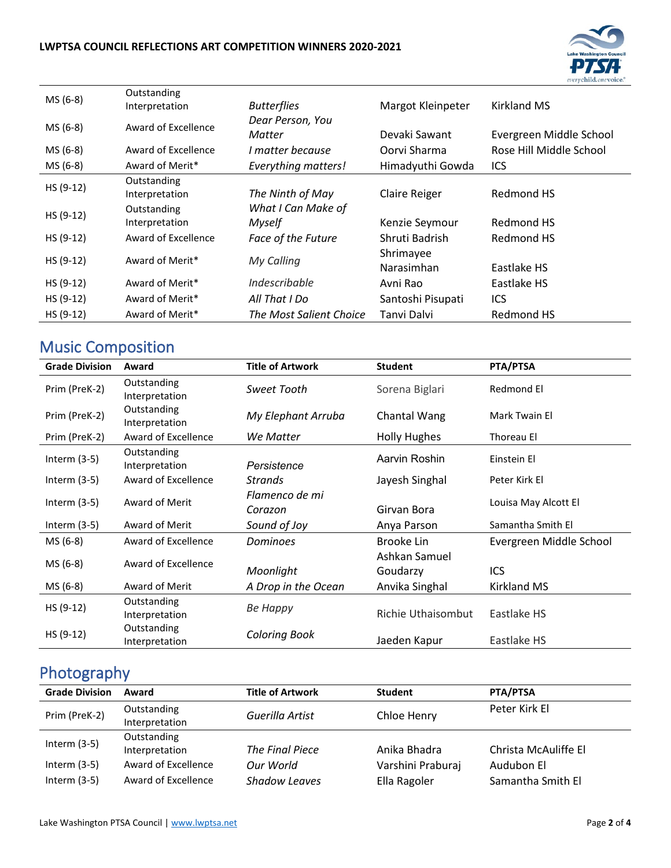#### **LWPTSA COUNCIL REFLECTIONS ART COMPETITION WINNERS 2020-2021**



| MS (6-8)    | Outstanding<br>Interpretation | <b>Butterflies</b>                  | Margot Kleinpeter       | <b>Kirkland MS</b>      |
|-------------|-------------------------------|-------------------------------------|-------------------------|-------------------------|
| MS (6-8)    | Award of Excellence           | Dear Person, You<br>Matter          | Devaki Sawant           | Evergreen Middle School |
| MS (6-8)    | Award of Excellence           | I matter because                    | Oorvi Sharma            | Rose Hill Middle School |
| MS (6-8)    | Award of Merit*               | <b>Everything matters!</b>          | Himadyuthi Gowda        | ICS                     |
| HS (9-12)   | Outstanding<br>Interpretation | The Ninth of May                    | Claire Reiger           | Redmond HS              |
| HS (9-12)   | Outstanding<br>Interpretation | What I Can Make of<br><b>Myself</b> | Kenzie Seymour          | Redmond HS              |
| $HS (9-12)$ | Award of Excellence           | Face of the Future                  | Shruti Badrish          | Redmond HS              |
| $HS(9-12)$  | Award of Merit*               | My Calling                          | Shrimayee<br>Narasimhan | Eastlake HS             |
| HS (9-12)   | Award of Merit*               | Indescribable                       | Avni Rao                | Eastlake HS             |
| HS (9-12)   | Award of Merit*               | All That I Do                       | Santoshi Pisupati       | ICS                     |
| $HS(9-12)$  | Award of Merit*               | The Most Salient Choice             | Tanvi Dalvi             | Redmond HS              |

## Music Composition

| <b>Grade Division</b> | Award                         | <b>Title of Artwork</b>   | <b>Student</b>            | PTA/PTSA                |
|-----------------------|-------------------------------|---------------------------|---------------------------|-------------------------|
| Prim (PreK-2)         | Outstanding<br>Interpretation | Sweet Tooth               | Sorena Biglari            | Redmond El              |
| Prim (PreK-2)         | Outstanding<br>Interpretation | My Elephant Arruba        | Chantal Wang              | Mark Twain El           |
| Prim (PreK-2)         | Award of Excellence           | We Matter                 | <b>Holly Hughes</b>       | Thoreau El              |
| Interm $(3-5)$        | Outstanding<br>Interpretation | Persistence               | Aarvin Roshin             | Einstein El             |
| Interm $(3-5)$        | Award of Excellence           | Strands                   | Jayesh Singhal            | Peter Kirk El           |
| Interm $(3-5)$        | Award of Merit                | Flamenco de mi<br>Corazon | Girvan Bora               | Louisa May Alcott El    |
| Interm $(3-5)$        | Award of Merit                | Sound of Joy              | Anya Parson               | Samantha Smith El       |
| MS (6-8)              | Award of Excellence           | <b>Dominoes</b>           | Brooke Lin                | Evergreen Middle School |
| MS (6-8)              | Award of Excellence           | Moonlight                 | Ashkan Samuel<br>Goudarzy | ICS                     |
| MS (6-8)              | Award of Merit                | A Drop in the Ocean       | Anvika Singhal            | Kirkland MS             |
| $HS(9-12)$            | Outstanding<br>Interpretation | Ве Нарру                  | <b>Richie Uthaisombut</b> | Eastlake HS             |
| HS (9-12)             | Outstanding<br>Interpretation | <b>Coloring Book</b>      | Jaeden Kapur              | Eastlake HS             |

# Photography

| <b>Grade Division</b>            | Award                                      | <b>Title of Artwork</b>           | <b>Student</b>                    | PTA/PTSA                        |
|----------------------------------|--------------------------------------------|-----------------------------------|-----------------------------------|---------------------------------|
| Prim (PreK-2)                    | Outstanding<br>Interpretation              | Guerilla Artist                   | Chloe Henry                       | Peter Kirk El                   |
| Interm $(3-5)$                   | Outstanding<br>Interpretation              | The Final Piece                   | Anika Bhadra                      | Christa McAuliffe El            |
| Interm $(3-5)$<br>Interm $(3-5)$ | Award of Excellence<br>Award of Excellence | Our World<br><b>Shadow Leaves</b> | Varshini Praburaj<br>Ella Ragoler | Audubon El<br>Samantha Smith El |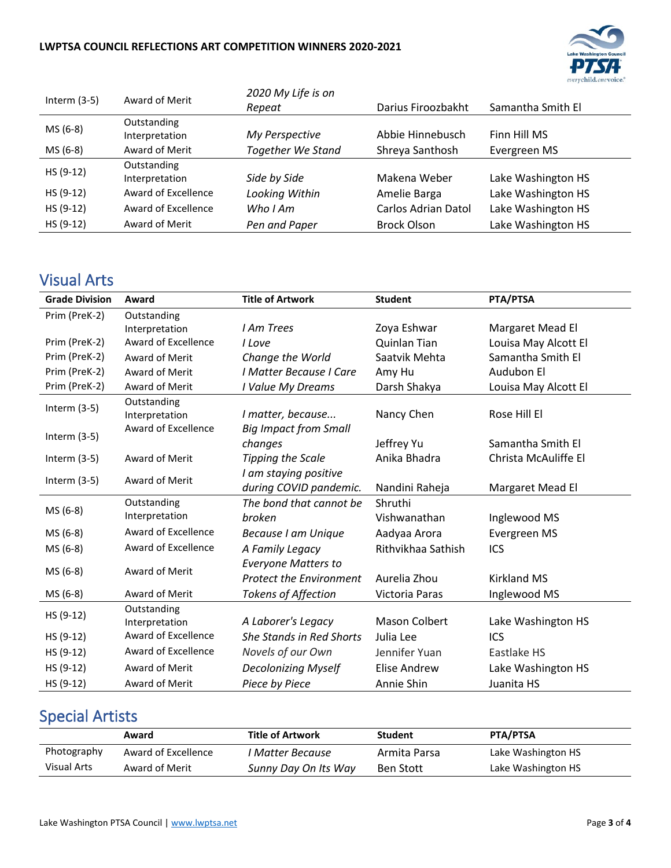#### **LWPTSA COUNCIL REFLECTIONS ART COMPETITION WINNERS 2020-2021**



| Interm $(3-5)$ | Award of Merit      | 2020 My Life is on       |                     |                    |
|----------------|---------------------|--------------------------|---------------------|--------------------|
|                |                     | Repeat                   | Darius Firoozbakht  | Samantha Smith El  |
| MS (6-8)       | Outstanding         |                          |                     |                    |
|                | Interpretation      | My Perspective           | Abbie Hinnebusch    | Finn Hill MS       |
| MS (6-8)       | Award of Merit      | <b>Together We Stand</b> | Shreya Santhosh     | Evergreen MS       |
| HS (9-12)      | Outstanding         |                          |                     |                    |
|                | Interpretation      | Side by Side             | Makena Weber        | Lake Washington HS |
| HS (9-12)      | Award of Excellence | Looking Within           | Amelie Barga        | Lake Washington HS |
| HS (9-12)      | Award of Excellence | Who I Am                 | Carlos Adrian Datol | Lake Washington HS |
| HS (9-12)      | Award of Merit      | Pen and Paper            | <b>Brock Olson</b>  | Lake Washington HS |

# Visual Arts

| <b>Grade Division</b> | Award                         | <b>Title of Artwork</b>                                      | <b>Student</b>       | PTA/PTSA             |
|-----------------------|-------------------------------|--------------------------------------------------------------|----------------------|----------------------|
| Prim (PreK-2)         | Outstanding                   |                                                              |                      |                      |
|                       | Interpretation                | I Am Trees                                                   | Zoya Eshwar          | Margaret Mead El     |
| Prim (PreK-2)         | Award of Excellence           | I Love                                                       | Quinlan Tian         | Louisa May Alcott El |
| Prim (PreK-2)         | Award of Merit                | Change the World                                             | Saatvik Mehta        | Samantha Smith El    |
| Prim (PreK-2)         | Award of Merit                | I Matter Because I Care                                      | Amy Hu               | Audubon El           |
| Prim (PreK-2)         | Award of Merit                | I Value My Dreams                                            | Darsh Shakya         | Louisa May Alcott El |
| Interm $(3-5)$        | Outstanding<br>Interpretation | I matter, because                                            | Nancy Chen           | Rose Hill El         |
| Interm $(3-5)$        | Award of Excellence           | <b>Big Impact from Small</b><br>changes                      | Jeffrey Yu           | Samantha Smith El    |
| Interm $(3-5)$        | Award of Merit                | <b>Tipping the Scale</b>                                     | Anika Bhadra         | Christa McAuliffe El |
| Interm $(3-5)$        | Award of Merit                | I am staying positive<br>during COVID pandemic.              | Nandini Raheja       | Margaret Mead El     |
|                       | Outstanding                   | The bond that cannot be                                      | Shruthi              |                      |
| MS (6-8)              | Interpretation                | broken                                                       | Vishwanathan         | Inglewood MS         |
| MS (6-8)              | Award of Excellence           | Because I am Unique                                          | Aadyaa Arora         | Evergreen MS         |
| MS (6-8)              | Award of Excellence           | A Family Legacy                                              | Rithvikhaa Sathish   | ICS                  |
| MS (6-8)              | Award of Merit                | <b>Everyone Matters to</b><br><b>Protect the Environment</b> | Aurelia Zhou         | <b>Kirkland MS</b>   |
| MS (6-8)              | Award of Merit                | <b>Tokens of Affection</b>                                   | Victoria Paras       | Inglewood MS         |
| HS (9-12)             | Outstanding<br>Interpretation | A Laborer's Legacy                                           | <b>Mason Colbert</b> | Lake Washington HS   |
| HS (9-12)             | Award of Excellence           | <b>She Stands in Red Shorts</b>                              | Julia Lee            | ICS                  |
| HS (9-12)             | Award of Excellence           | Novels of our Own                                            | Jennifer Yuan        | Eastlake HS          |
| HS (9-12)             | Award of Merit                | <b>Decolonizing Myself</b>                                   | Elise Andrew         | Lake Washington HS   |
| HS (9-12)             | Award of Merit                | Piece by Piece                                               | Annie Shin           | Juanita HS           |

## Special Artists

|             | Award               | <b>Title of Artwork</b> | <b>Student</b>   | PTA/PTSA           |
|-------------|---------------------|-------------------------|------------------|--------------------|
| Photography | Award of Excellence | I Matter Because        | Armita Parsa     | Lake Washington HS |
| Visual Arts | Award of Merit      | Sunny Day On Its Way    | <b>Ben Stott</b> | Lake Washington HS |